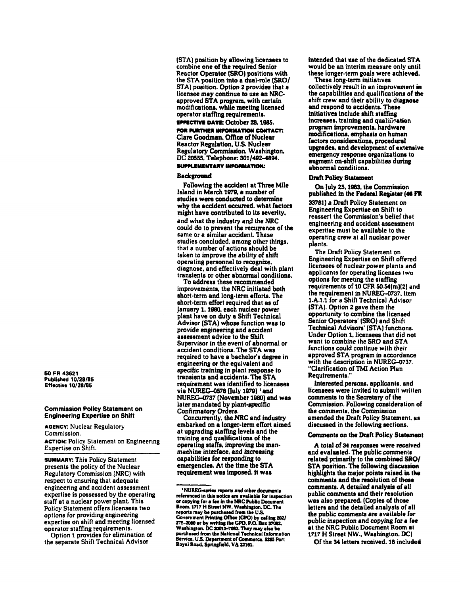(STA) position by allowing licensees to combine one of the required Senior Reactor Operator (SRO) positions with the STA position into a dual-role (SRO/ STA) position. Option 2 provides that a licensee may continue to use an NRCapproved STA program. with certain modifications. while meetina licensed operator staffing requirements.

# EFFECTIVE DATE: October 28, 1985.

FOR FURTHER INFORMATION CONTACT: Clare Goodman. Office of Nuclear Reactor Regulation. U.S. Nuclear Regulatory Commission. Washington. DC 20555. Telephone: 301/492-4894. SUPPLEMENTARY INFORMATION:

# **Background**

Following the accident at Three Mile Island in March 1979. a number of studies were conducted to determine why the accident occurred. what factors might have contributed to its severity. and what the industry and the NRC could do to prevent the recutrence of the same or a similar accident. These studies concluded. among other things. that a number of actions should be taken to improve the ability of shift operating personnel to recognize. diagnose. and effectively deal with plant transients or other abnormal conditions.

To address these recommended improvements. the NRC initiated both short-term and long-term efforts. The short-term effort required that as of January 1. 1980. each nuclear power plant have on duty a Shift Technical Advisor (STA) whose function was to provide engineering and accident assessment advice to the Shift<br>Supervisor in the event of abnormal or accident conditions. The STA was<br>required to have a bachelor's degree in engineering or the equivalent and specific training in plant response to transients and accidents. The STA requirement was identified to licensees via NUREG-0578 (July 1979)<sup>1</sup> and NUREG-0737 (November 1980) and was later mandated by plant-specific Confirmatory Orders.

Concurrently. the NRC and industry embarked on a longer-term effort aimed at upgrading staffing levels and the training and qualifications of the operating staffs, improving the manmaehine interface. and increasing capabilities for responding to emergencies. At the time the STA requirement was imposed, it was

intended that use of the dedicated STA would be an interim measure only until these longer-term goals were achieved.

These long-term initiatives collectively result in an improvement in the capabilities and qualifications of the shift crew and their ability to diagnose and respond to accidents. These initiatives include shift staffing increases, training and qualification program improvements. hardware modifications, emphasis on human factors considerations. procedural upgrades, and development of extensive emergency response organizations to augment on-shift capabilities during abnormal conditions.

#### Draft Policy Statement

On July 25. 1983. the Commiasion published in the Federal Register (46 FR 33781) a Draft Policy Statement on Engineering Expertise on Shift to reassert the Commission's belief thut engineering and accident assessment expertise must be available to the operating crew at all nuclear power planls.

The Draft Policy Statement on Engineering Expertise on Shift offered licensees of nuclear power plants and applicants for operating licenses two options for meeting the staffing requirements of  $10$  CFR 50.54(m)(2) and the requirement in NUREG-0737, item 1.A.1.1 for a Shift Technical Advisor (STA). Option 2 gave them the opportunity to combine the licensed Senior Operators' (SRO) and Shift Technical Advisors' (STA) functions. Under Option 1. licensees that did not want to combine the SRO and STA functions could continue with their approved STA program in accordance with the description in NUREG-0737. "Clarification ofTMI Action Plan Requirements."

Interested persons, applicants, and licensees were invited to submit written comments to the Secretary of the Commission. Following consideration of the commenls. the Commission amended the Draft Policy Statement. as discussed in the following sections.

#### Comments on the Draft Policy Statemeal

A total of 34 responses were received and evaluated. The public comment. related primarily to the combined SKO/ STA position. The following discussion highlights the major points raised in the comments and the resolution of those comments. A detailed analysis of all public comments and their resolution was also prepared. (Copies of those letlers and the detailed analysis of all the public comments are available for public inspection and copying for a fee at the NRC Public Document Room al 1717 H Street NW., Washington. DCJ

Of the 34 letters received. 18 included

50 FR 43621 Published *10/28185*  Effective *10/28/85* 

## Commission Policy Statement on Engineering Expertise on Shift

AGENCY: Nuclear Regulatory Commission.

ACTION: Policy Statement on Engineering Expertise on Shift.

SUMMARY: This Policy Statement presents the policy of the Nuclear Regulatory Commission (NRC) with respect to ensuring that adequate engineering and accident assessment expertise is possessed by the operating staff at a nuclear power plant. This Policy Statement offers licensees two options for providing engineering expertise on shift and meeting licensed operator staffing requirements.

Option 1 provides for elimination of the separate Shift Technical Advisor

<sup>&#</sup>x27;NUREG-series reports and other documents<br>referenced in this notice are available for inspection. referenced in this notice are available for inspection<br>or copying for a fee in the NRC Public Document<br>Room, 1717 H Street NW. Washington, DC. The reports may be purchased from the U.S.<br>Covernment Printing Office (GPO) by calling 202/<br>275–2080 or by writing the GPO, P.O. Box 37082.<br>Washington, DC 20013–7082. They may also be<br>purchased from the National Technical Info Service. U.S. Department of Commerce. 5285 PorI Royal Road. Springfield, VA 22161.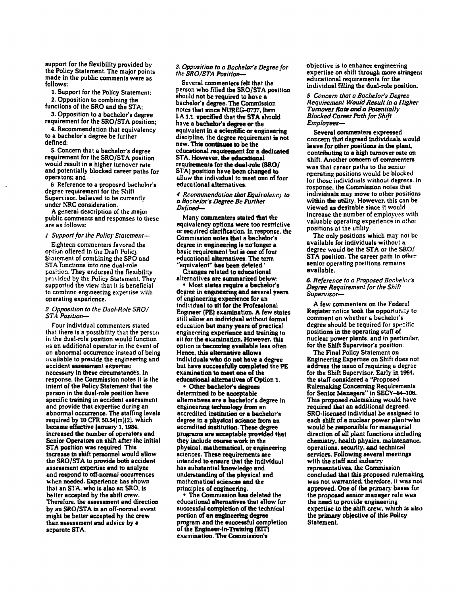support for the flexibility provided by the Policy Statement. The major points made in the public comments were as follows:

1. Support for the Policy Statement:

2. Opposition to combining the functions of the SRO and the STA;

3. Opposition to a bachelor's degree requirement for the SRO/STA position:

4. Recommendation that equivalency to a bachelor's degree be further defined:

5. Concern that a bachelor's degree requirement for the SRO/STA position would result in a higher turnover rate and potentially blocked career paths for operators; and

6 Reference to a proposed bachelor's degree requirement for the Shift Supervisor. believed to be currently under NRC consideration.

A general description of the majo! public comments and responses to these are as follows:

# 1 Support for the Policy Statement-

Eighteen cornmcnters favored the optiun offered in the Draft Policy Statement of combining the SRO and STA functions into one dual-role position. They endorsed the flexibility provided by the Policy Statement. They supported the view that it is beneficial to comhine engineering expertise with operating experience.

## *2 Opposition to the Dual·Role SRO/ ST.4 Posilion-*

Four individual commenters stated that there is a possibility that the person in the dual-role position would function HS an additional operator in the event of an abnormal occurrence instead of being uvailable to previde the engineering and accident assessment expertise necessary in these circumstances. In response. the Commission noles it is the intent of the Policy Statement that the person in the dual-role position have specific training in accident assessment and provide that expertise during an abnormal occurrence. The staffing levels required by 10 CFR 5O.54(m)(2). which became effective January 1. 1984. increased the number of operators and Senior Operators on shift after the initial STA position was required. This increase in sbift personnel would allow the SRO/STA to provide both accident assessment expertiae and to analyze and respond to off-normal occurrences when needed. Experience has shown that an STA. who is also an SRO, is better accepted by the shift crew. Therefore, the assessment and direction by an SRO/STA in an off-normal event might be better accepted by the crew than assessment and advice by a separate STA.

## *3. Opposition to a Bachelor's Degree for*  the SRO/STA Position-

Several commenters felt that the person who filled tbe SRO/STA position should not be required to have a bachelor's degree. The Commission notes that since NUREG-0737. Item I.A.1.1. specified that the STA should have a bachelor's degree or the equivalent in a scientific or engineering discipline. the degree requirement is not new. This continues to be the educational requirement for a dedicated STA. However, the educational rr.quirements for the dual-role *(SROI*  STA) position have been changed to allow the individual to meet one of four educational alternatives.

#### *4 RccClmme"dation that Equit'olt!Jlc} /0 a Bachelor's Degree Be Further Defined-*

Many commenters stated that the equivalency options were too restrictive or required clarification. In response, the Commission notes that a bachelor's degree in engineering is no' longer a basic requirement but is one of four educational alternatives. The term 'equivalent" has been deleted.'

Changes related to educational alternatives are summarized below:

• Most states require a bachelor's degree in engineering and several years of engineering experience for an individual to sit for the Professional Engineer (PE) examination. A few states still allow an individual without formal education but many years of practical engineering experience and training to sit for the examination. However, this option is becoming available less often Hence. this alternative allow. individuals who do not have a degree but have successfully completed the PE examination to meet one of the educational alternatives of Option 1.

• Other bachelor's degrees determined to be acceptable alternatives are a bachelor's degree in engineering technology from an accredited institution or a bachelor's degree in a physical science from an accredited institution. These degree programa are acceptable provided that they include course work in the physical. mathematical. or engineering sciences. These requirements are intended to ensure that the individual has substantial knowledge and understanding of the physical and mathematical sciences and the principles of engineering.

The Commission has deleted the educational alternatives that allow for successful completion of the technical portion of an engineering degree program and the successful completion of the Engineer-in-Trainins (EIT) examination. The Commission's

objective is to enhance engineering expertise on shift through more stringent educational requirements for the individual filling the dual-role position.

*5 Concern that* a *Bochelor's Degree Requirement Would Result in Q Higher Turnover Rate and* Q *Potentially Blocked Career Path tor Shift Employees-*

Several commenters expressed concern that degreed individuals would leave for other positions in the plant. contributing to a high turnover rate on shift. Another concem of commenters was that career paths to the senior operating positions would be blocked for those individuals without degrees. In response. the Commission notes that individuals may move to other positions within the utility. However. this can be viewed as desirable since it would increase the number of employees with valuable operating experience in othel positions at the utility.

The only positions which may not be available for individuals without a degree would be the STA or the SRO/ STA position. The career path to other senior operating positions remains available.

## 6. Reference to a Proposed Bachelor's *Degree Requirement for the Shifl Supervisor-*

A few commenters on the Federal Register notice took the opportunity to comment on whether a bachelor's degree should be required for specific positions in the operating staff of nuclear power plants. and in particular. for the Shift Supervisor's position.

The Final Policy Statement on Engineering Expertise on Shift does nol address the issue of requiring a degree for the Shift Supervisor. Early in 1984. the staff considered a "Proposed Rulemakina Conceming Requirements for Senior Managera" in SECY-a4-106. This proposed rulemaking would have required that an additional degreed. SRO-licensed individual be assigned to each shift of a nuclear power plant-who would be responsible for managerial direction of aU plant functions including chemistry, health physics, maintenance, operations, security, and technical services. Following several meetings with the staff and industry repreaentatlves, the Commission concluded that this proposed rulemaking was not warranted; therefore, it was not approved. One of the primary bases for the proposed senior manager rule was the need to provide engineering expertise to the shift crew, which is also the primary objective of this Policy Statement.